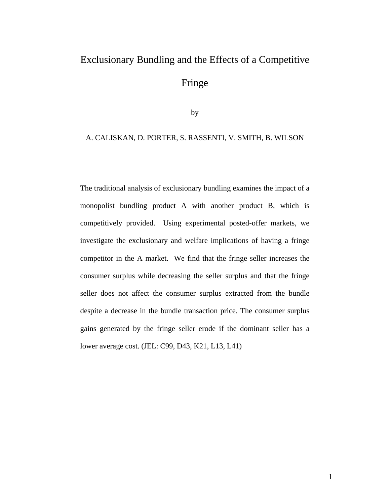# Exclusionary Bundling and the Effects of a Competitive Fringe

by

#### A. CALISKAN, D. PORTER, S. RASSENTI, V. SMITH, B. WILSON

The traditional analysis of exclusionary bundling examines the impact of a monopolist bundling product A with another product B, which is competitively provided. Using experimental posted-offer markets, we investigate the exclusionary and welfare implications of having a fringe competitor in the A market. We find that the fringe seller increases the consumer surplus while decreasing the seller surplus and that the fringe seller does not affect the consumer surplus extracted from the bundle despite a decrease in the bundle transaction price. The consumer surplus gains generated by the fringe seller erode if the dominant seller has a lower average cost. (JEL: C99, D43, K21, L13, L41)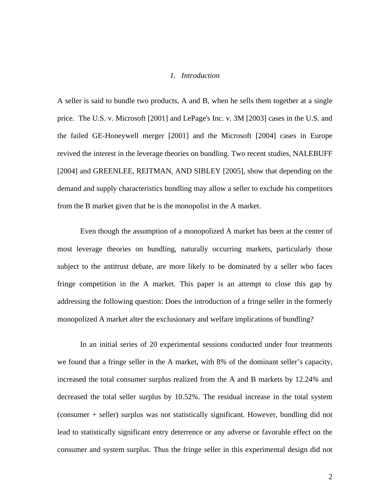#### *1. Introduction*

A seller is said to bundle two products, A and B, when he sells them together at a single price. The U.S. v. Microsoft [2001] and LePage's Inc. v. 3M [2003] cases in the U.S. and the failed GE-Honeywell merger [2001] and the Microsoft [2004] cases in Europe revived the interest in the leverage theories on bundling. Two recent studies, NALEBUFF [2004] and GREENLEE, REITMAN, AND SIBLEY [2005], show that depending on the demand and supply characteristics bundling may allow a seller to exclude his competitors from the B market given that he is the monopolist in the A market.

Even though the assumption of a monopolized A market has been at the center of most leverage theories on bundling, naturally occurring markets, particularly those subject to the antitrust debate, are more likely to be dominated by a seller who faces fringe competition in the A market. This paper is an attempt to close this gap by addressing the following question: Does the introduction of a fringe seller in the formerly monopolized A market alter the exclusionary and welfare implications of bundling?

In an initial series of 20 experimental sessions conducted under four treatments we found that a fringe seller in the A market, with 8*%* of the dominant seller's capacity, increased the total consumer surplus realized from the A and B markets by 12.24*%* and decreased the total seller surplus by 10.52*%*. The residual increase in the total system (consumer + seller) surplus was not statistically significant. However, bundling did not lead to statistically significant entry deterrence or any adverse or favorable effect on the consumer and system surplus. Thus the fringe seller in this experimental design did not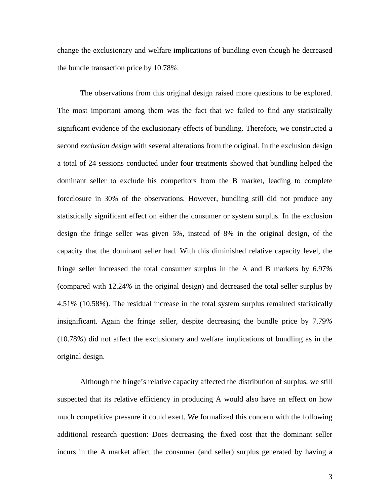change the exclusionary and welfare implications of bundling even though he decreased the bundle transaction price by 10.78*%*.

The observations from this original design raised more questions to be explored. The most important among them was the fact that we failed to find any statistically significant evidence of the exclusionary effects of bundling. Therefore, we constructed a second *exclusion design* with several alterations from the original. In the exclusion design a total of 24 sessions conducted under four treatments showed that bundling helped the dominant seller to exclude his competitors from the B market, leading to complete foreclosure in 30*%* of the observations. However, bundling still did not produce any statistically significant effect on either the consumer or system surplus. In the exclusion design the fringe seller was given 5*%,* instead of 8% in the original design, of the capacity that the dominant seller had. With this diminished relative capacity level, the fringe seller increased the total consumer surplus in the A and B markets by 6.97*%* (compared with 12.24*%* in the original design) and decreased the total seller surplus by 4.51*%* (10.58*%*). The residual increase in the total system surplus remained statistically insignificant. Again the fringe seller, despite decreasing the bundle price by 7.79*%* (10.78*%*) did not affect the exclusionary and welfare implications of bundling as in the original design.

Although the fringe's relative capacity affected the distribution of surplus, we still suspected that its relative efficiency in producing A would also have an effect on how much competitive pressure it could exert. We formalized this concern with the following additional research question: Does decreasing the fixed cost that the dominant seller incurs in the A market affect the consumer (and seller) surplus generated by having a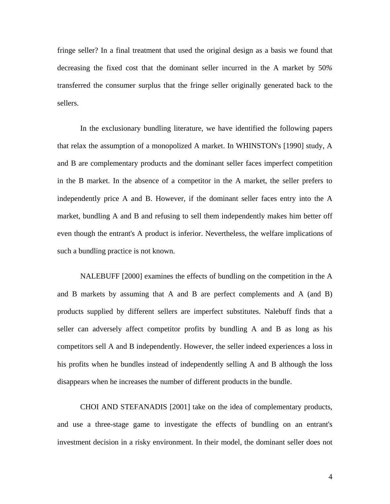fringe seller? In a final treatment that used the original design as a basis we found that decreasing the fixed cost that the dominant seller incurred in the A market by 50*%* transferred the consumer surplus that the fringe seller originally generated back to the sellers.

In the exclusionary bundling literature, we have identified the following papers that relax the assumption of a monopolized A market. In WHINSTON's [1990] study, A and B are complementary products and the dominant seller faces imperfect competition in the B market. In the absence of a competitor in the A market, the seller prefers to independently price A and B. However, if the dominant seller faces entry into the A market, bundling A and B and refusing to sell them independently makes him better off even though the entrant's A product is inferior. Nevertheless, the welfare implications of such a bundling practice is not known.

NALEBUFF [2000] examines the effects of bundling on the competition in the A and B markets by assuming that A and B are perfect complements and A (and B) products supplied by different sellers are imperfect substitutes. Nalebuff finds that a seller can adversely affect competitor profits by bundling A and B as long as his competitors sell A and B independently. However, the seller indeed experiences a loss in his profits when he bundles instead of independently selling A and B although the loss disappears when he increases the number of different products in the bundle.

CHOI AND STEFANADIS [2001] take on the idea of complementary products, and use a three-stage game to investigate the effects of bundling on an entrant's investment decision in a risky environment. In their model, the dominant seller does not

4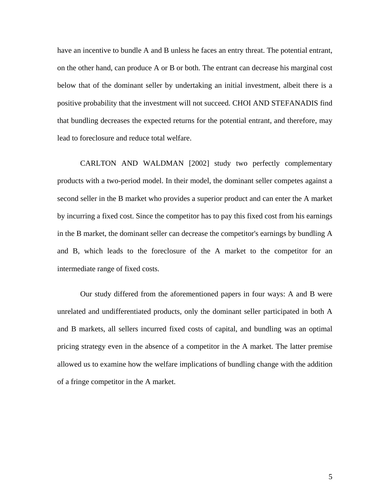have an incentive to bundle A and B unless he faces an entry threat. The potential entrant, on the other hand, can produce A or B or both. The entrant can decrease his marginal cost below that of the dominant seller by undertaking an initial investment, albeit there is a positive probability that the investment will not succeed. CHOI AND STEFANADIS find that bundling decreases the expected returns for the potential entrant, and therefore, may lead to foreclosure and reduce total welfare.

CARLTON AND WALDMAN [2002] study two perfectly complementary products with a two-period model. In their model, the dominant seller competes against a second seller in the B market who provides a superior product and can enter the A market by incurring a fixed cost. Since the competitor has to pay this fixed cost from his earnings in the B market, the dominant seller can decrease the competitor's earnings by bundling A and B, which leads to the foreclosure of the A market to the competitor for an intermediate range of fixed costs.

Our study differed from the aforementioned papers in four ways: A and B were unrelated and undifferentiated products, only the dominant seller participated in both A and B markets, all sellers incurred fixed costs of capital, and bundling was an optimal pricing strategy even in the absence of a competitor in the A market. The latter premise allowed us to examine how the welfare implications of bundling change with the addition of a fringe competitor in the A market.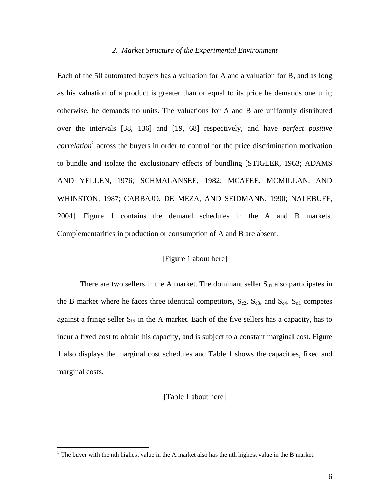#### *2. Market Structure of the Experimental Environment*

Each of the 50 automated buyers has a valuation for A and a valuation for B, and as long as his valuation of a product is greater than or equal to its price he demands one unit; otherwise, he demands no units. The valuations for A and B are uniformly distributed over the intervals [38, 136] and [19, 68] respectively, and have *perfect positive correlation*<sup>1</sup> across the buyers in order to control for the price discrimination motivation to bundle and isolate the exclusionary effects of bundling [STIGLER, 1963; ADAMS AND YELLEN, 1976; SCHMALANSEE, 1982; MCAFEE, MCMILLAN, AND WHINSTON, 1987; CARBAJO, DE MEZA, AND SEIDMANN, 1990; NALEBUFF, 2004]. Figure 1 contains the demand schedules in the A and B markets. Complementarities in production or consumption of A and B are absent.

#### [Figure 1 about here]

There are two sellers in the A market. The dominant seller  $S_{d1}$  also participates in the B market where he faces three identical competitors,  $S_{c2}$ ,  $S_{c3}$ , and  $S_{c4}$ .  $S_{d1}$  competes against a fringe seller  $S_{f5}$  in the A market. Each of the five sellers has a capacity, has to incur a fixed cost to obtain his capacity, and is subject to a constant marginal cost. Figure 1 also displays the marginal cost schedules and Table 1 shows the capacities, fixed and marginal costs.

#### [Table 1 about here]

<u>.</u>

<sup>&</sup>lt;sup>1</sup> The buyer with the nth highest value in the A market also has the nth highest value in the B market.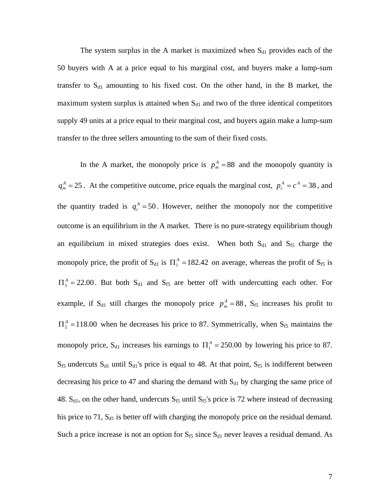The system surplus in the A market is maximized when  $S_{d1}$  provides each of the 50 buyers with A at a price equal to his marginal cost, and buyers make a lump-sum transfer to  $S<sub>d1</sub>$  amounting to his fixed cost. On the other hand, in the B market, the maximum system surplus is attained when  $S<sub>d1</sub>$  and two of the three identical competitors supply 49 units at a price equal to their marginal cost, and buyers again make a lump-sum transfer to the three sellers amounting to the sum of their fixed costs.

In the A market, the monopoly price is  $p_m^A = 88$  and the monopoly quantity is  $q_m^A = 25$ . At the competitive outcome, price equals the marginal cost,  $p_c^A = c^A = 38$ , and the quantity traded is  $q_c^A = 50$ . However, neither the monopoly nor the competitive outcome is an equilibrium in the A market. There is no pure-strategy equilibrium though an equilibrium in mixed strategies does exist. When both  $S<sub>d1</sub>$  and  $S<sub>f5</sub>$  charge the monopoly price, the profit of S<sub>d1</sub> is  $\Pi_1^A = 182.42$  on average, whereas the profit of S<sub>f5</sub> is  $\Pi_5^A = 22.00$ . But both S<sub>d1</sub> and S<sub>f5</sub> are better off with undercutting each other. For example, if S<sub>d1</sub> still charges the monopoly price  $p_m^A = 88$ , S<sub>f5</sub> increases his profit to  $\Pi_5^A$  =118.00 when he decreases his price to 87. Symmetrically, when S<sub>f5</sub> maintains the monopoly price, S<sub>d1</sub> increases his earnings to  $\Pi_1^A = 250.00$  by lowering his price to 87.  $S_{f5}$  undercuts  $S_{d1}$  until  $S_{d1}$ 's price is equal to 48. At that point,  $S_{f5}$  is indifferent between decreasing his price to 47 and sharing the demand with  $S<sub>d1</sub>$  by charging the same price of 48.  $S_{d1}$ , on the other hand, undercuts  $S_{f5}$  until  $S_{f5}$ 's price is 72 where instead of decreasing his price to 71,  $S_{d1}$  is better off with charging the monopoly price on the residual demand. Such a price increase is not an option for  $S_{f5}$  since  $S_{d1}$  never leaves a residual demand. As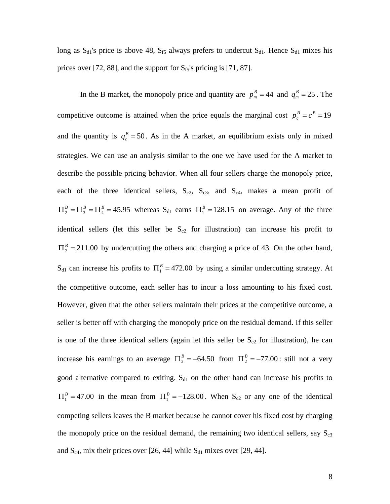long as  $S_{d1}$ 's price is above 48,  $S_{f5}$  always prefers to undercut  $S_{d1}$ . Hence  $S_{d1}$  mixes his prices over [72, 88], and the support for  $S_{f5}$ 's pricing is [71, 87].

In the B market, the monopoly price and quantity are  $p_m^B = 44$  and  $q_m^B = 25$ . The competitive outcome is attained when the price equals the marginal cost  $p_c^B = c^B = 19$ and the quantity is  $q_c^B = 50$ . As in the A market, an equilibrium exists only in mixed strategies. We can use an analysis similar to the one we have used for the A market to describe the possible pricing behavior. When all four sellers charge the monopoly price, each of the three identical sellers,  $S_{c2}$ ,  $S_{c3}$ , and  $S_{c4}$ , makes a mean profit of  $\Pi_2^B = \Pi_3^B = \Pi_4^B = 45.95$  whereas  $S_{d1}$  earns  $\Pi_1^B = 128.15$  on average. Any of the three identical sellers (let this seller be  $S_{c2}$  for illustration) can increase his profit to  $\Pi_2^B = 211.00$  by undercutting the others and charging a price of 43. On the other hand, S<sub>d1</sub> can increase his profits to  $\Pi_1^B = 472.00$  by using a similar undercutting strategy. At the competitive outcome, each seller has to incur a loss amounting to his fixed cost. However, given that the other sellers maintain their prices at the competitive outcome, a seller is better off with charging the monopoly price on the residual demand. If this seller is one of the three identical sellers (again let this seller be  $S_{c2}$  for illustration), he can increase his earnings to an average  $\Pi_2^B = -64.50$  from  $\Pi_2^B = -77.00$ : still not a very good alternative compared to exiting.  $S<sub>d1</sub>$  on the other hand can increase his profits to  $\Pi_1^B = 47.00$  in the mean from  $\Pi_1^B = -128.00$ . When S<sub>c2</sub> or any one of the identical competing sellers leaves the B market because he cannot cover his fixed cost by charging the monopoly price on the residual demand, the remaining two identical sellers, say  $S_{c3}$ and  $S_{c4}$ , mix their prices over [26, 44] while  $S_{d1}$  mixes over [29, 44].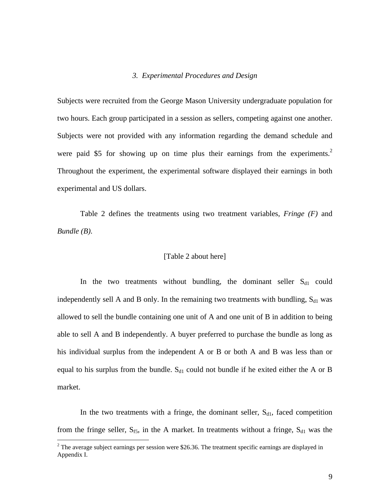#### *3. Experimental Procedures and Design*

Subjects were recruited from the George Mason University undergraduate population for two hours. Each group participated in a session as sellers, competing against one another. Subjects were not provided with any information regarding the demand schedule and were paid \$5 for showing up on time plus their earnings from the experiments.<sup>2</sup> Throughout the experiment, the experimental software displayed their earnings in both experimental and US dollars.

Table 2 defines the treatments using two treatment variables, *Fringe (F)* and *Bundle (B)*.

#### [Table 2 about here]

In the two treatments without bundling, the dominant seller  $S_{d1}$  could independently sell A and B only. In the remaining two treatments with bundling,  $S_{d1}$  was allowed to sell the bundle containing one unit of A and one unit of B in addition to being able to sell A and B independently. A buyer preferred to purchase the bundle as long as his individual surplus from the independent A or B or both A and B was less than or equal to his surplus from the bundle.  $S_{d1}$  could not bundle if he exited either the A or B market.

In the two treatments with a fringe, the dominant seller,  $S_{d1}$ , faced competition from the fringe seller,  $S_{f5}$ , in the A market. In treatments without a fringe,  $S_{d1}$  was the

1

 $2^2$  The average subject earnings per session were \$26.36. The treatment specific earnings are displayed in Appendix I.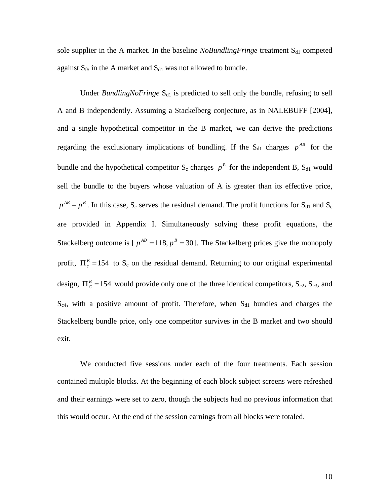sole supplier in the A market. In the baseline *NoBundlingFringe* treatment S<sub>d1</sub> competed against  $S_{f5}$  in the A market and  $S_{d1}$  was not allowed to bundle.

Under *BundlingNoFringe* S<sub>d1</sub> is predicted to sell only the bundle, refusing to sell A and B independently. Assuming a Stackelberg conjecture, as in NALEBUFF [2004], and a single hypothetical competitor in the B market, we can derive the predictions regarding the exclusionary implications of bundling. If the  $S_{d1}$  charges  $p^{AB}$  for the bundle and the hypothetical competitor  $S_c$  charges  $p^B$  for the independent B,  $S_{d1}$  would sell the bundle to the buyers whose valuation of A is greater than its effective price,  $p^{AB} - p^B$ . In this case, S<sub>c</sub> serves the residual demand. The profit functions for S<sub>d1</sub> and S<sub>c</sub> are provided in Appendix I. Simultaneously solving these profit equations, the Stackelberg outcome is  $[p^{AB} = 118, p^B = 30]$ . The Stackelberg prices give the monopoly profit,  $\Pi_c^B = 154$  to S<sub>c</sub> on the residual demand. Returning to our original experimental design,  $\Pi_c^B = 154$  would provide only one of the three identical competitors, S<sub>c2</sub>, S<sub>c3</sub>, and  $S_{c4}$ , with a positive amount of profit. Therefore, when  $S_{d1}$  bundles and charges the Stackelberg bundle price, only one competitor survives in the B market and two should exit.

We conducted five sessions under each of the four treatments. Each session contained multiple blocks. At the beginning of each block subject screens were refreshed and their earnings were set to zero, though the subjects had no previous information that this would occur. At the end of the session earnings from all blocks were totaled.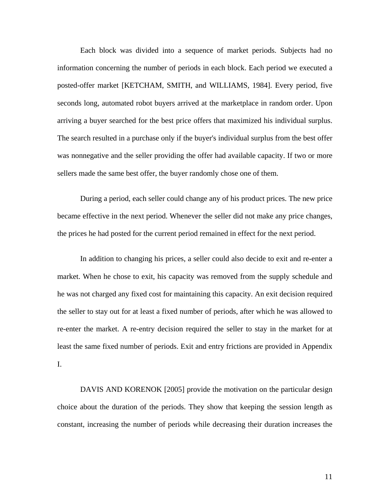Each block was divided into a sequence of market periods. Subjects had no information concerning the number of periods in each block. Each period we executed a posted-offer market [KETCHAM, SMITH, and WILLIAMS, 1984]. Every period, five seconds long, automated robot buyers arrived at the marketplace in random order. Upon arriving a buyer searched for the best price offers that maximized his individual surplus. The search resulted in a purchase only if the buyer's individual surplus from the best offer was nonnegative and the seller providing the offer had available capacity. If two or more sellers made the same best offer, the buyer randomly chose one of them.

During a period, each seller could change any of his product prices. The new price became effective in the next period. Whenever the seller did not make any price changes, the prices he had posted for the current period remained in effect for the next period.

In addition to changing his prices, a seller could also decide to exit and re-enter a market. When he chose to exit, his capacity was removed from the supply schedule and he was not charged any fixed cost for maintaining this capacity. An exit decision required the seller to stay out for at least a fixed number of periods, after which he was allowed to re-enter the market. A re-entry decision required the seller to stay in the market for at least the same fixed number of periods. Exit and entry frictions are provided in Appendix I.

DAVIS AND KORENOK [2005] provide the motivation on the particular design choice about the duration of the periods. They show that keeping the session length as constant, increasing the number of periods while decreasing their duration increases the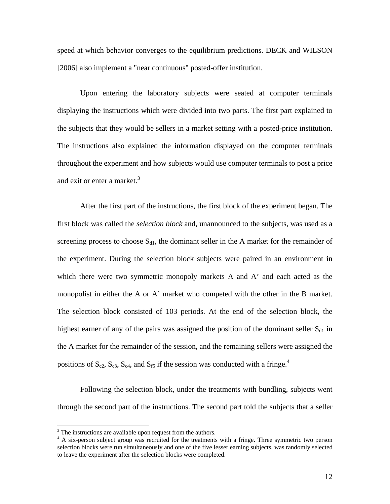speed at which behavior converges to the equilibrium predictions. DECK and WILSON [2006] also implement a "near continuous" posted-offer institution.

Upon entering the laboratory subjects were seated at computer terminals displaying the instructions which were divided into two parts. The first part explained to the subjects that they would be sellers in a market setting with a posted-price institution. The instructions also explained the information displayed on the computer terminals throughout the experiment and how subjects would use computer terminals to post a price and exit or enter a market.<sup>3</sup>

After the first part of the instructions, the first block of the experiment began. The first block was called the *selection block* and, unannounced to the subjects, was used as a screening process to choose  $S<sub>d1</sub>$ , the dominant seller in the A market for the remainder of the experiment. During the selection block subjects were paired in an environment in which there were two symmetric monopoly markets A and A' and each acted as the monopolist in either the A or A' market who competed with the other in the B market. The selection block consisted of 103 periods. At the end of the selection block, the highest earner of any of the pairs was assigned the position of the dominant seller  $S_{d1}$  in the A market for the remainder of the session, and the remaining sellers were assigned the positions of  $S_{c2}$ ,  $S_{c3}$ ,  $S_{c4}$ , and  $S_{f5}$  if the session was conducted with a fringe.<sup>4</sup>

Following the selection block, under the treatments with bundling, subjects went through the second part of the instructions. The second part told the subjects that a seller

<sup>&</sup>lt;sup>3</sup> The instructions are available upon request from the authors.

<sup>&</sup>lt;sup>4</sup> A six-person subject group was recruited for the treatments with a fringe. Three symmetric two person selection blocks were run simultaneously and one of the five lesser earning subjects, was randomly selected to leave the experiment after the selection blocks were completed.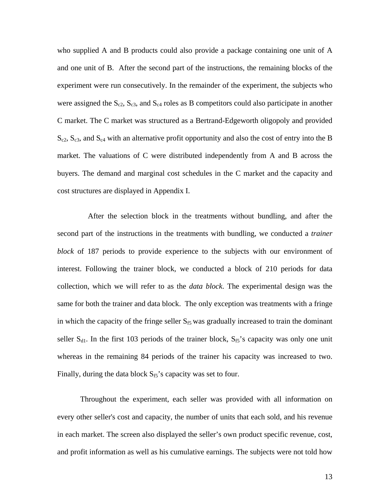who supplied A and B products could also provide a package containing one unit of A and one unit of B. After the second part of the instructions, the remaining blocks of the experiment were run consecutively. In the remainder of the experiment, the subjects who were assigned the  $S_{c2}$ ,  $S_{c3}$ , and  $S_{c4}$  roles as B competitors could also participate in another C market. The C market was structured as a Bertrand-Edgeworth oligopoly and provided  $S_{c2}$ ,  $S_{c3}$ , and  $S_{c4}$  with an alternative profit opportunity and also the cost of entry into the B market. The valuations of C were distributed independently from A and B across the buyers. The demand and marginal cost schedules in the C market and the capacity and cost structures are displayed in Appendix I.

 After the selection block in the treatments without bundling, and after the second part of the instructions in the treatments with bundling, we conducted a *trainer block* of 187 periods to provide experience to the subjects with our environment of interest. Following the trainer block, we conducted a block of 210 periods for data collection, which we will refer to as the *data block*. The experimental design was the same for both the trainer and data block. The only exception was treatments with a fringe in which the capacity of the fringe seller  $S_f$  was gradually increased to train the dominant seller  $S_{d1}$ . In the first 103 periods of the trainer block,  $S_{f5}$ 's capacity was only one unit whereas in the remaining 84 periods of the trainer his capacity was increased to two. Finally, during the data block  $S_f$ 's capacity was set to four.

Throughout the experiment, each seller was provided with all information on every other seller's cost and capacity, the number of units that each sold, and his revenue in each market. The screen also displayed the seller's own product specific revenue, cost, and profit information as well as his cumulative earnings. The subjects were not told how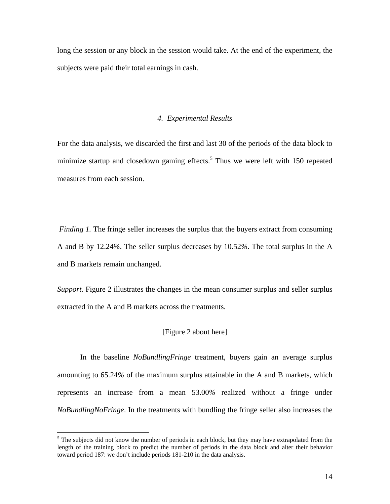long the session or any block in the session would take. At the end of the experiment, the subjects were paid their total earnings in cash.

#### *4. Experimental Results*

For the data analysis, we discarded the first and last 30 of the periods of the data block to minimize startup and closedown gaming effects.<sup>5</sup> Thus we were left with 150 repeated measures from each session.

*Finding 1.* The fringe seller increases the surplus that the buyers extract from consuming A and B by 12.24*%*. The seller surplus decreases by 10.52*%*. The total surplus in the A and B markets remain unchanged.

*Support.* Figure 2 illustrates the changes in the mean consumer surplus and seller surplus extracted in the A and B markets across the treatments.

#### [Figure 2 about here]

In the baseline *NoBundlingFringe* treatment*,* buyers gain an average surplus amounting to 65.24*%* of the maximum surplus attainable in the A and B markets, which represents an increase from a mean 53.00*%* realized without a fringe under *NoBundlingNoFringe*. In the treatments with bundling the fringe seller also increases the

 $\overline{a}$ 

 $<sup>5</sup>$  The subjects did not know the number of periods in each block, but they may have extrapolated from the</sup> length of the training block to predict the number of periods in the data block and alter their behavior toward period 187: we don't include periods 181-210 in the data analysis.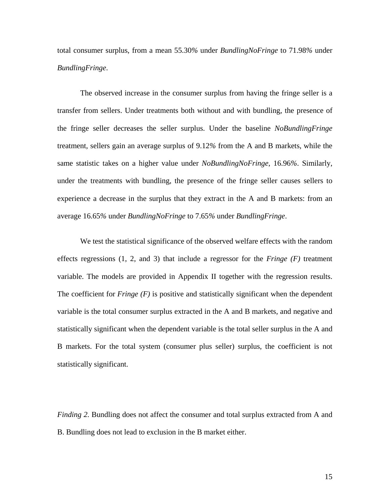total consumer surplus, from a mean 55.30*%* under *BundlingNoFringe* to 71.98*%* under *BundlingFringe*.

The observed increase in the consumer surplus from having the fringe seller is a transfer from sellers. Under treatments both without and with bundling, the presence of the fringe seller decreases the seller surplus. Under the baseline *NoBundlingFringe* treatment, sellers gain an average surplus of 9.12*%* from the A and B markets, while the same statistic takes on a higher value under *NoBundlingNoFringe*, 16.96*%*. Similarly, under the treatments with bundling, the presence of the fringe seller causes sellers to experience a decrease in the surplus that they extract in the A and B markets: from an average 16.65*%* under *BundlingNoFringe* to 7.65*%* under *BundlingFringe*.

We test the statistical significance of the observed welfare effects with the random effects regressions (1, 2, and 3) that include a regressor for the *Fringe (F)* treatment variable. The models are provided in Appendix II together with the regression results. The coefficient for *Fringe (F)* is positive and statistically significant when the dependent variable is the total consumer surplus extracted in the A and B markets, and negative and statistically significant when the dependent variable is the total seller surplus in the A and B markets. For the total system (consumer plus seller) surplus, the coefficient is not statistically significant.

*Finding 2.* Bundling does not affect the consumer and total surplus extracted from A and B. Bundling does not lead to exclusion in the B market either.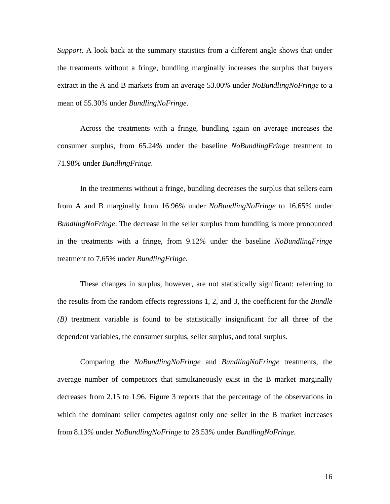*Support.* A look back at the summary statistics from a different angle shows that under the treatments without a fringe, bundling marginally increases the surplus that buyers extract in the A and B markets from an average 53.00*%* under *NoBundlingNoFringe* to a mean of 55.30*%* under *BundlingNoFringe*.

Across the treatments with a fringe, bundling again on average increases the consumer surplus, from 65.24*%* under the baseline *NoBundlingFringe* treatment to 71.98*%* under *BundlingFringe*.

In the treatments without a fringe, bundling decreases the surplus that sellers earn from A and B marginally from 16.96*%* under *NoBundlingNoFringe* to 16.65*%* under *BundlingNoFringe*. The decrease in the seller surplus from bundling is more pronounced in the treatments with a fringe, from 9.12*%* under the baseline *NoBundlingFringe* treatment to 7.65*%* under *BundlingFringe*.

These changes in surplus, however, are not statistically significant: referring to the results from the random effects regressions 1, 2, and 3, the coefficient for the *Bundle (B)* treatment variable is found to be statistically insignificant for all three of the dependent variables, the consumer surplus, seller surplus, and total surplus.

Comparing the *NoBundlingNoFringe* and *BundlingNoFringe* treatments, the average number of competitors that simultaneously exist in the B market marginally decreases from 2.15 to 1.96. Figure 3 reports that the percentage of the observations in which the dominant seller competes against only one seller in the B market increases from 8.13*%* under *NoBundlingNoFringe* to 28.53*%* under *BundlingNoFringe*.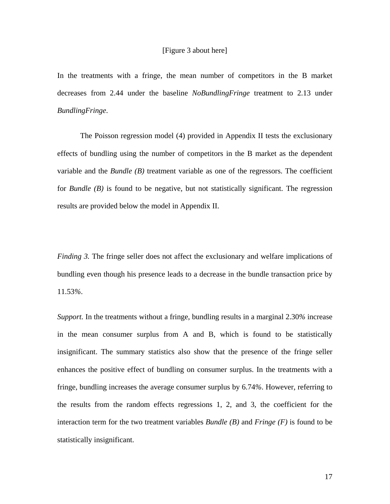#### [Figure 3 about here]

In the treatments with a fringe, the mean number of competitors in the B market decreases from 2.44 under the baseline *NoBundlingFringe* treatment to 2.13 under *BundlingFringe*.

The Poisson regression model (4) provided in Appendix II tests the exclusionary effects of bundling using the number of competitors in the B market as the dependent variable and the *Bundle (B)* treatment variable as one of the regressors. The coefficient for *Bundle (B)* is found to be negative, but not statistically significant. The regression results are provided below the model in Appendix II.

*Finding 3.* The fringe seller does not affect the exclusionary and welfare implications of bundling even though his presence leads to a decrease in the bundle transaction price by 11.53*%*.

*Support.* In the treatments without a fringe, bundling results in a marginal 2.30*%* increase in the mean consumer surplus from A and B, which is found to be statistically insignificant. The summary statistics also show that the presence of the fringe seller enhances the positive effect of bundling on consumer surplus. In the treatments with a fringe, bundling increases the average consumer surplus by 6.74*%*. However, referring to the results from the random effects regressions 1, 2, and 3, the coefficient for the interaction term for the two treatment variables *Bundle (B)* and *Fringe (F)* is found to be statistically insignificant.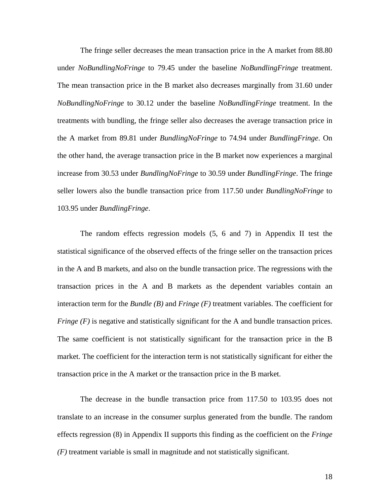The fringe seller decreases the mean transaction price in the A market from 88.80 under *NoBundlingNoFringe* to 79.45 under the baseline *NoBundlingFringe* treatment. The mean transaction price in the B market also decreases marginally from 31.60 under *NoBundlingNoFringe* to 30.12 under the baseline *NoBundlingFringe* treatment. In the treatments with bundling, the fringe seller also decreases the average transaction price in the A market from 89.81 under *BundlingNoFringe* to 74.94 under *BundlingFringe*. On the other hand, the average transaction price in the B market now experiences a marginal increase from 30.53 under *BundlingNoFringe* to 30.59 under *BundlingFringe*. The fringe seller lowers also the bundle transaction price from 117.50 under *BundlingNoFringe* to 103.95 under *BundlingFringe*.

The random effects regression models (5, 6 and 7) in Appendix II test the statistical significance of the observed effects of the fringe seller on the transaction prices in the A and B markets, and also on the bundle transaction price. The regressions with the transaction prices in the A and B markets as the dependent variables contain an interaction term for the *Bundle (B)* and *Fringe (F)* treatment variables. The coefficient for *Fringe (F)* is negative and statistically significant for the A and bundle transaction prices. The same coefficient is not statistically significant for the transaction price in the B market. The coefficient for the interaction term is not statistically significant for either the transaction price in the A market or the transaction price in the B market.

The decrease in the bundle transaction price from 117.50 to 103.95 does not translate to an increase in the consumer surplus generated from the bundle. The random effects regression (8) in Appendix II supports this finding as the coefficient on the *Fringe (F)* treatment variable is small in magnitude and not statistically significant.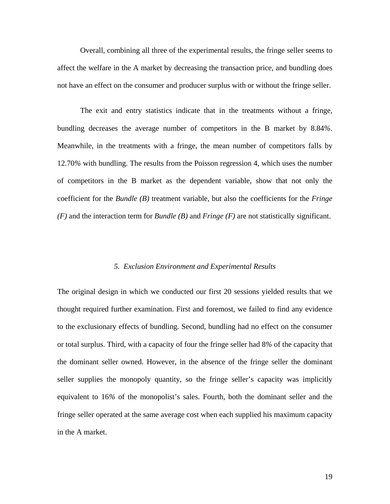Overall, combining all three of the experimental results, the fringe seller seems to affect the welfare in the A market by decreasing the transaction price, and bundling does not have an effect on the consumer and producer surplus with or without the fringe seller.

The exit and entry statistics indicate that in the treatments without a fringe, bundling decreases the average number of competitors in the B market by 8.84*%*. Meanwhile, in the treatments with a fringe, the mean number of competitors falls by 12.70*%* with bundling. The results from the Poisson regression 4, which uses the number of competitors in the B market as the dependent variable, show that not only the coefficient for the *Bundle (B)* treatment variable, but also the coefficients for the *Fringe (F)* and the interaction term for *Bundle (B)* and *Fringe (F)* are not statistically significant.

#### *5. Exclusion Environment and Experimental Results*

The original design in which we conducted our first 20 sessions yielded results that we thought required further examination. First and foremost, we failed to find any evidence to the exclusionary effects of bundling. Second, bundling had no effect on the consumer or total surplus. Third, with a capacity of four the fringe seller had 8*%* of the capacity that the dominant seller owned. However, in the absence of the fringe seller the dominant seller supplies the monopoly quantity, so the fringe seller's capacity was implicitly equivalent to 16*%* of the monopolist's sales. Fourth, both the dominant seller and the fringe seller operated at the same average cost when each supplied his maximum capacity in the A market.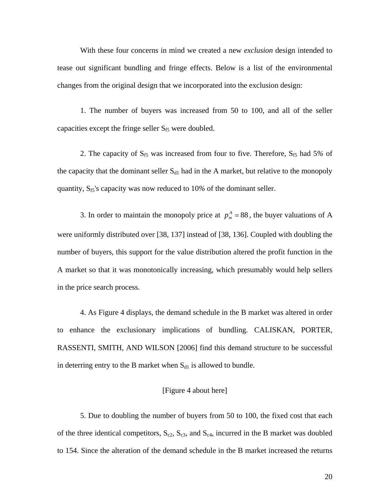With these four concerns in mind we created a new *exclusion* design intended to tease out significant bundling and fringe effects. Below is a list of the environmental changes from the original design that we incorporated into the exclusion design:

1. The number of buyers was increased from 50 to 100, and all of the seller capacities except the fringe seller  $S_{f5}$  were doubled.

2. The capacity of S<sub>f5</sub> was increased from four to five. Therefore, S<sub>f5</sub> had 5% of the capacity that the dominant seller  $S_{d1}$  had in the A market, but relative to the monopoly quantity, S<sub>f5</sub>'s capacity was now reduced to 10% of the dominant seller.

3. In order to maintain the monopoly price at  $p_m^A = 88$ , the buyer valuations of A were uniformly distributed over [38, 137] instead of [38, 136]. Coupled with doubling the number of buyers, this support for the value distribution altered the profit function in the A market so that it was monotonically increasing, which presumably would help sellers in the price search process.

4. As Figure 4 displays, the demand schedule in the B market was altered in order to enhance the exclusionary implications of bundling. CALISKAN, PORTER, RASSENTI, SMITH, AND WILSON [2006] find this demand structure to be successful in deterring entry to the B market when  $S_{d1}$  is allowed to bundle.

#### [Figure 4 about here]

5. Due to doubling the number of buyers from 50 to 100, the fixed cost that each of the three identical competitors,  $S_{c2}$ ,  $S_{c3}$ , and  $S_{c4}$ , incurred in the B market was doubled to 154. Since the alteration of the demand schedule in the B market increased the returns

20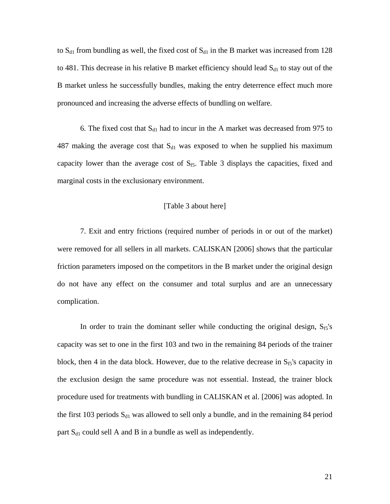to  $S_{d1}$  from bundling as well, the fixed cost of  $S_{d1}$  in the B market was increased from 128 to 481. This decrease in his relative B market efficiency should lead  $S_{d1}$  to stay out of the B market unless he successfully bundles, making the entry deterrence effect much more pronounced and increasing the adverse effects of bundling on welfare.

6. The fixed cost that  $S_{d1}$  had to incur in the A market was decreased from 975 to 487 making the average cost that  $S_{d1}$  was exposed to when he supplied his maximum capacity lower than the average cost of  $S_{f5}$ . Table 3 displays the capacities, fixed and marginal costs in the exclusionary environment.

#### [Table 3 about here]

7. Exit and entry frictions (required number of periods in or out of the market) were removed for all sellers in all markets. CALISKAN [2006] shows that the particular friction parameters imposed on the competitors in the B market under the original design do not have any effect on the consumer and total surplus and are an unnecessary complication.

In order to train the dominant seller while conducting the original design,  $S_{f5}$ 's capacity was set to one in the first 103 and two in the remaining 84 periods of the trainer block, then 4 in the data block. However, due to the relative decrease in  $S_{f5}$ 's capacity in the exclusion design the same procedure was not essential. Instead, the trainer block procedure used for treatments with bundling in CALISKAN et al. [2006] was adopted. In the first 103 periods  $S_{d1}$  was allowed to sell only a bundle, and in the remaining 84 period part  $S_{d1}$  could sell A and B in a bundle as well as independently.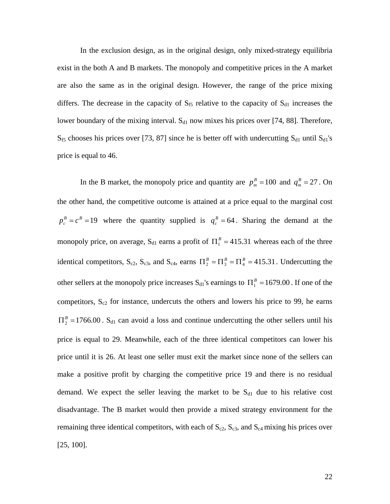In the exclusion design, as in the original design, only mixed-strategy equilibria exist in the both A and B markets. The monopoly and competitive prices in the A market are also the same as in the original design. However, the range of the price mixing differs. The decrease in the capacity of  $S_{f5}$  relative to the capacity of  $S_{d1}$  increases the lower boundary of the mixing interval.  $S<sub>d1</sub>$  now mixes his prices over [74, 88]. Therefore,  $S_{f5}$  chooses his prices over [73, 87] since he is better off with undercutting  $S_{d1}$  until  $S_{d1}$ 's price is equal to 46.

In the B market, the monopoly price and quantity are  $p_m^B = 100$  and  $q_m^B = 27$ . On the other hand, the competitive outcome is attained at a price equal to the marginal cost  $p_c^B = c^B = 19$  where the quantity supplied is  $q_c^B = 64$ . Sharing the demand at the monopoly price, on average,  $S_{d1}$  earns a profit of  $\Pi_1^B = 415.31$  whereas each of the three identical competitors, S<sub>c2</sub>, S<sub>c3</sub>, and S<sub>c4</sub>, earns  $\Pi_2^B = \Pi_3^B = \Pi_4^B = 415.31$ . Undercutting the other sellers at the monopoly price increases  $S_{d1}$ 's earnings to  $\Pi_1^B = 1679.00$ . If one of the competitors,  $S_{c2}$  for instance, undercuts the others and lowers his price to 99, he earns  $\Pi_2^B$  =1766.00 *S*<sub>d1</sub> can avoid a loss and continue undercutting the other sellers until his price is equal to 29. Meanwhile, each of the three identical competitors can lower his price until it is 26. At least one seller must exit the market since none of the sellers can make a positive profit by charging the competitive price 19 and there is no residual demand. We expect the seller leaving the market to be  $S<sub>d1</sub>$  due to his relative cost disadvantage. The B market would then provide a mixed strategy environment for the remaining three identical competitors, with each of  $S_{c2}$ ,  $S_{c3}$ , and  $S_{c4}$  mixing his prices over [25, 100].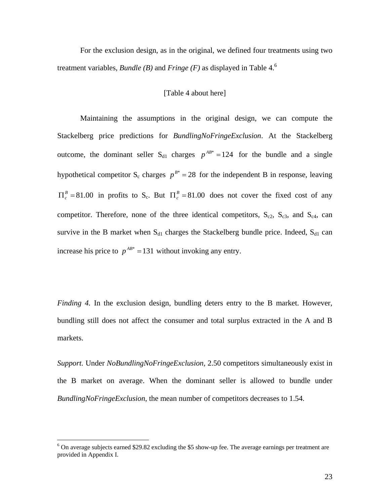For the exclusion design, as in the original, we defined four treatments using two treatment variables, *Bundle (B)* and *Fringe (F)* as displayed in Table 4.6

#### [Table 4 about here]

Maintaining the assumptions in the original design, we can compute the Stackelberg price predictions for *BundlingNoFringeExclusion*. At the Stackelberg outcome, the dominant seller  $S_{d1}$  charges  $p^{AB^*} = 124$  for the bundle and a single hypothetical competitor S<sub>c</sub> charges  $p^{B^*} = 28$  for the independent B in response, leaving  $\Pi_c^B = 81.00$  in profits to S<sub>c</sub>. But  $\Pi_c^B = 81.00$  does not cover the fixed cost of any competitor. Therefore, none of the three identical competitors,  $S_{c2}$ ,  $S_{c3}$ , and  $S_{c4}$ , can survive in the B market when  $S_{d1}$  charges the Stackelberg bundle price. Indeed,  $S_{d1}$  can increase his price to  $p^{AB^*} = 131$  without invoking any entry.

*Finding 4.* In the exclusion design, bundling deters entry to the B market. However, bundling still does not affect the consumer and total surplus extracted in the A and B markets.

*Support.* Under *NoBundlingNoFringeExclusion*, 2.50 competitors simultaneously exist in the B market on average. When the dominant seller is allowed to bundle under *BundlingNoFringeExclusion*, the mean number of competitors decreases to 1.54.

<sup>&</sup>lt;sup>6</sup> On average subjects earned \$29.82 excluding the \$5 show-up fee. The average earnings per treatment are provided in Appendix I.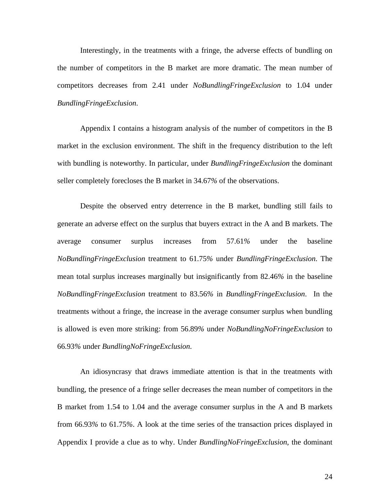Interestingly, in the treatments with a fringe, the adverse effects of bundling on the number of competitors in the B market are more dramatic. The mean number of competitors decreases from 2.41 under *NoBundlingFringeExclusion* to 1.04 under *BundlingFringeExclusion*.

Appendix I contains a histogram analysis of the number of competitors in the B market in the exclusion environment. The shift in the frequency distribution to the left with bundling is noteworthy. In particular, under *BundlingFringeExclusion* the dominant seller completely forecloses the B market in 34.67*%* of the observations.

Despite the observed entry deterrence in the B market, bundling still fails to generate an adverse effect on the surplus that buyers extract in the A and B markets. The average consumer surplus increases from 57.61*%* under the baseline *NoBundlingFringeExclusion* treatment to 61.75*%* under *BundlingFringeExclusion*. The mean total surplus increases marginally but insignificantly from 82.46*%* in the baseline *NoBundlingFringeExclusion* treatment to 83.56*%* in *BundlingFringeExclusion*. In the treatments without a fringe, the increase in the average consumer surplus when bundling is allowed is even more striking: from 56.89*%* under *NoBundlingNoFringeExclusion* to 66.93*%* under *BundlingNoFringeExclusion*.

An idiosyncrasy that draws immediate attention is that in the treatments with bundling, the presence of a fringe seller decreases the mean number of competitors in the B market from 1.54 to 1.04 and the average consumer surplus in the A and B markets from 66.93*%* to 61.75*%*. A look at the time series of the transaction prices displayed in Appendix I provide a clue as to why. Under *BundlingNoFringeExclusion*, the dominant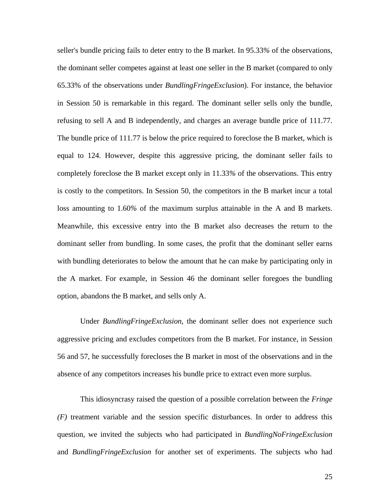seller's bundle pricing fails to deter entry to the B market. In 95.33*%* of the observations, the dominant seller competes against at least one seller in the B market (compared to only 65.33% of the observations under *BundlingFringeExclusion*). For instance, the behavior in Session 50 is remarkable in this regard. The dominant seller sells only the bundle, refusing to sell A and B independently, and charges an average bundle price of 111.77. The bundle price of 111.77 is below the price required to foreclose the B market, which is equal to 124. However, despite this aggressive pricing, the dominant seller fails to completely foreclose the B market except only in 11.33*%* of the observations. This entry is costly to the competitors. In Session 50, the competitors in the B market incur a total loss amounting to 1.60*%* of the maximum surplus attainable in the A and B markets. Meanwhile, this excessive entry into the B market also decreases the return to the dominant seller from bundling. In some cases, the profit that the dominant seller earns with bundling deteriorates to below the amount that he can make by participating only in the A market. For example, in Session 46 the dominant seller foregoes the bundling option, abandons the B market, and sells only A.

Under *BundlingFringeExclusion*, the dominant seller does not experience such aggressive pricing and excludes competitors from the B market. For instance, in Session 56 and 57, he successfully forecloses the B market in most of the observations and in the absence of any competitors increases his bundle price to extract even more surplus.

This idiosyncrasy raised the question of a possible correlation between the *Fringe (F)* treatment variable and the session specific disturbances. In order to address this question, we invited the subjects who had participated in *BundlingNoFringeExclusion* and *BundlingFringeExclusion* for another set of experiments. The subjects who had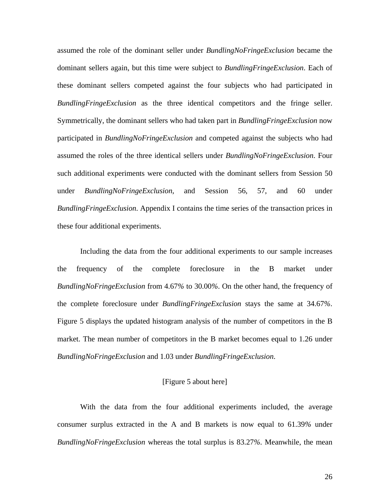assumed the role of the dominant seller under *BundlingNoFringeExclusion* became the dominant sellers again, but this time were subject to *BundlingFringeExclusion*. Each of these dominant sellers competed against the four subjects who had participated in *BundlingFringeExclusion* as the three identical competitors and the fringe seller. Symmetrically, the dominant sellers who had taken part in *BundlingFringeExclusion* now participated in *BundlingNoFringeExclusion* and competed against the subjects who had assumed the roles of the three identical sellers under *BundlingNoFringeExclusion*. Four such additional experiments were conducted with the dominant sellers from Session 50 under *BundlingNoFringeExclusion*, and Session 56, 57, and 60 under *BundlingFringeExclusion*. Appendix I contains the time series of the transaction prices in these four additional experiments.

Including the data from the four additional experiments to our sample increases the frequency of the complete foreclosure in the B market under *BundlingNoFringeExclusion* from 4.67*%* to 30.00*%*. On the other hand, the frequency of the complete foreclosure under *BundlingFringeExclusion* stays the same at 34.67*%*. Figure 5 displays the updated histogram analysis of the number of competitors in the B market. The mean number of competitors in the B market becomes equal to 1.26 under *BundlingNoFringeExclusion* and 1.03 under *BundlingFringeExclusion*.

#### [Figure 5 about here]

With the data from the four additional experiments included, the average consumer surplus extracted in the A and B markets is now equal to 61.39*%* under *BundlingNoFringeExclusion* whereas the total surplus is 83.27*%*. Meanwhile, the mean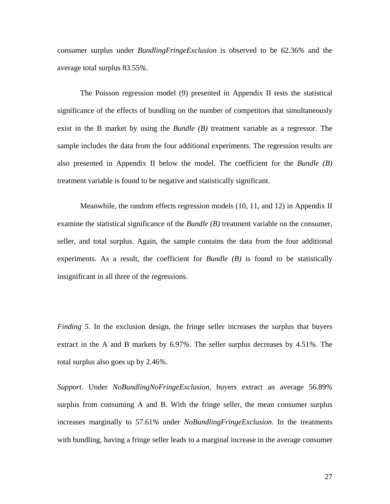consumer surplus under *BundlingFringeExclusion* is observed to be 62.36*%* and the average total surplus 83.55*%*.

The Poisson regression model (9) presented in Appendix II tests the statistical significance of the effects of bundling on the number of competitors that simultaneously exist in the B market by using the *Bundle (B)* treatment variable as a regressor. The sample includes the data from the four additional experiments. The regression results are also presented in Appendix II below the model. The coefficient for the *Bundle (B)* treatment variable is found to be negative and statistically significant.

Meanwhile, the random effects regression models (10, 11, and 12) in Appendix II examine the statistical significance of the *Bundle (B)* treatment variable on the consumer, seller, and total surplus. Again, the sample contains the data from the four additional experiments. As a result, the coefficient for *Bundle (B)* is found to be statistically insignificant in all three of the regressions.

*Finding 5.* In the exclusion design, the fringe seller increases the surplus that buyers extract in the A and B markets by 6.97*%*. The seller surplus decreases by 4.51*%*. The total surplus also goes up by 2.46*%*.

*Support.* Under *NoBundlingNoFringeExclusion*, buyers extract an average 56.89*%* surplus from consuming A and B. With the fringe seller, the mean consumer surplus increases marginally to 57.61*%* under *NoBundlingFringeExclusion*. In the treatments with bundling, having a fringe seller leads to a marginal increase in the average consumer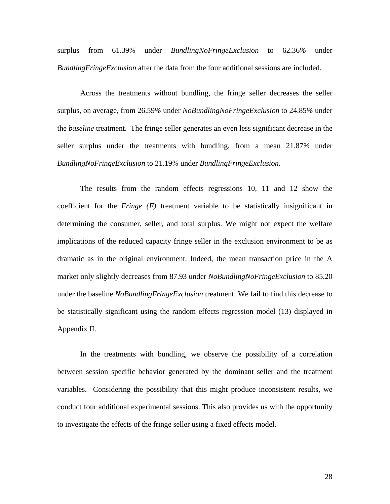surplus from 61.39*%* under *BundlingNoFringeExclusion* to 62.36*%* under *BundlingFringeExclusion* after the data from the four additional sessions are included.

Across the treatments without bundling, the fringe seller decreases the seller surplus, on average, from 26.59*%* under *NoBundlingNoFringeExclusion* to 24.85*%* under the *baseline* treatment. The fringe seller generates an even less significant decrease in the seller surplus under the treatments with bundling, from a mean 21.87*%* under *BundlingNoFringeExclusion* to 21.19*%* under *BundlingFringeExclusion*.

The results from the random effects regressions 10, 11 and 12 show the coefficient for the *Fringe (F)* treatment variable to be statistically insignificant in determining the consumer, seller, and total surplus. We might not expect the welfare implications of the reduced capacity fringe seller in the exclusion environment to be as dramatic as in the original environment. Indeed, the mean transaction price in the A market only slightly decreases from 87.93 under *NoBundlingNoFringeExclusion* to 85.20 under the baseline *NoBundlingFringeExclusion* treatment. We fail to find this decrease to be statistically significant using the random effects regression model (13) displayed in Appendix II.

In the treatments with bundling, we observe the possibility of a correlation between session specific behavior generated by the dominant seller and the treatment variables. Considering the possibility that this might produce inconsistent results, we conduct four additional experimental sessions. This also provides us with the opportunity to investigate the effects of the fringe seller using a fixed effects model.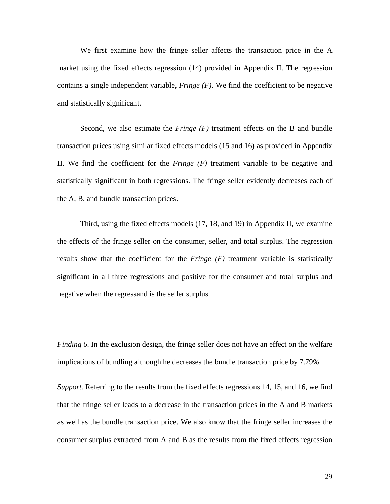We first examine how the fringe seller affects the transaction price in the A market using the fixed effects regression (14) provided in Appendix II. The regression contains a single independent variable, *Fringe (F)*. We find the coefficient to be negative and statistically significant.

Second, we also estimate the *Fringe (F)* treatment effects on the B and bundle transaction prices using similar fixed effects models (15 and 16) as provided in Appendix II. We find the coefficient for the *Fringe (F)* treatment variable to be negative and statistically significant in both regressions. The fringe seller evidently decreases each of the A, B, and bundle transaction prices.

Third, using the fixed effects models (17, 18, and 19) in Appendix II, we examine the effects of the fringe seller on the consumer, seller, and total surplus. The regression results show that the coefficient for the *Fringe (F)* treatment variable is statistically significant in all three regressions and positive for the consumer and total surplus and negative when the regressand is the seller surplus.

*Finding 6.* In the exclusion design, the fringe seller does not have an effect on the welfare implications of bundling although he decreases the bundle transaction price by 7.79*%*.

*Support.* Referring to the results from the fixed effects regressions 14, 15, and 16, we find that the fringe seller leads to a decrease in the transaction prices in the A and B markets as well as the bundle transaction price. We also know that the fringe seller increases the consumer surplus extracted from A and B as the results from the fixed effects regression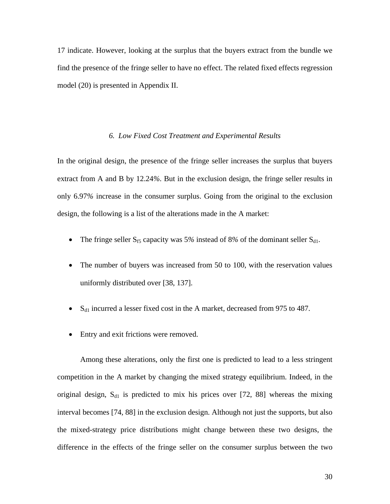17 indicate. However, looking at the surplus that the buyers extract from the bundle we find the presence of the fringe seller to have no effect. The related fixed effects regression model (20) is presented in Appendix II.

#### *6. Low Fixed Cost Treatment and Experimental Results*

In the original design, the presence of the fringe seller increases the surplus that buyers extract from A and B by 12.24*%*. But in the exclusion design, the fringe seller results in only 6.97*%* increase in the consumer surplus. Going from the original to the exclusion design, the following is a list of the alterations made in the A market:

- The fringe seller  $S_{f5}$  capacity was 5% instead of 8% of the dominant seller  $S_{d1}$ .
- The number of buyers was increased from 50 to 100, with the reservation values uniformly distributed over [38, 137].
- $S_{d1}$  incurred a lesser fixed cost in the A market, decreased from 975 to 487.
- Entry and exit frictions were removed.

Among these alterations, only the first one is predicted to lead to a less stringent competition in the A market by changing the mixed strategy equilibrium. Indeed, in the original design,  $S_{d1}$  is predicted to mix his prices over [72, 88] whereas the mixing interval becomes [74, 88] in the exclusion design. Although not just the supports, but also the mixed-strategy price distributions might change between these two designs, the difference in the effects of the fringe seller on the consumer surplus between the two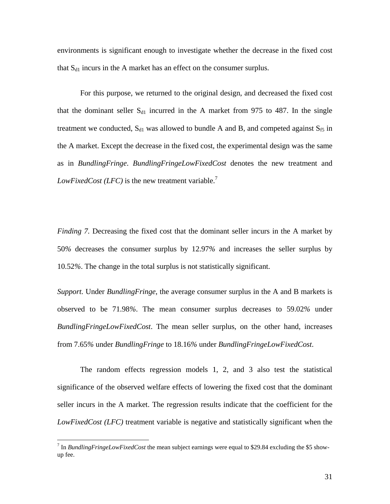environments is significant enough to investigate whether the decrease in the fixed cost that  $S_{d1}$  incurs in the A market has an effect on the consumer surplus.

For this purpose, we returned to the original design, and decreased the fixed cost that the dominant seller  $S_{d1}$  incurred in the A market from 975 to 487. In the single treatment we conducted,  $S_{d1}$  was allowed to bundle A and B, and competed against  $S_{f5}$  in the A market. Except the decrease in the fixed cost, the experimental design was the same as in *BundlingFringe*. *BundlingFringeLowFixedCost* denotes the new treatment and *LowFixedCost (LFC)* is the new treatment variable.<sup>7</sup>

*Finding 7.* Decreasing the fixed cost that the dominant seller incurs in the A market by 50*%* decreases the consumer surplus by 12.97*%* and increases the seller surplus by 10.52*%*. The change in the total surplus is not statistically significant.

*Support.* Under *BundlingFringe*, the average consumer surplus in the A and B markets is observed to be 71.98*%*. The mean consumer surplus decreases to 59.02*%* under *BundlingFringeLowFixedCost*. The mean seller surplus, on the other hand, increases from 7.65*%* under *BundlingFringe* to 18.16*%* under *BundlingFringeLowFixedCost*.

The random effects regression models 1, 2, and 3 also test the statistical significance of the observed welfare effects of lowering the fixed cost that the dominant seller incurs in the A market. The regression results indicate that the coefficient for the *LowFixedCost (LFC)* treatment variable is negative and statistically significant when the

<sup>&</sup>lt;sup>7</sup> In *BundlingFringeLowFixedCost* the mean subject earnings were equal to \$29.84 excluding the \$5 showup fee.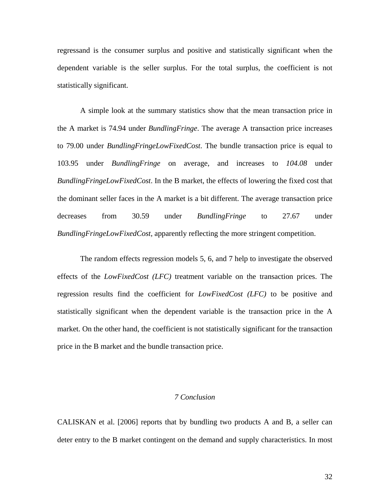regressand is the consumer surplus and positive and statistically significant when the dependent variable is the seller surplus. For the total surplus, the coefficient is not statistically significant.

A simple look at the summary statistics show that the mean transaction price in the A market is 74.94 under *BundlingFringe*. The average A transaction price increases to 79.00 under *BundlingFringeLowFixedCost*. The bundle transaction price is equal to 103.95 under *BundlingFringe* on average, and increases to *104.08* under *BundlingFringeLowFixedCost*. In the B market, the effects of lowering the fixed cost that the dominant seller faces in the A market is a bit different. The average transaction price decreases from 30.59 under *BundlingFringe* to 27.67 under *BundlingFringeLowFixedCost*, apparently reflecting the more stringent competition.

The random effects regression models 5, 6, and 7 help to investigate the observed effects of the *LowFixedCost (LFC)* treatment variable on the transaction prices. The regression results find the coefficient for *LowFixedCost (LFC)* to be positive and statistically significant when the dependent variable is the transaction price in the A market. On the other hand, the coefficient is not statistically significant for the transaction price in the B market and the bundle transaction price.

#### *7 Conclusion*

CALISKAN et al. [2006] reports that by bundling two products A and B, a seller can deter entry to the B market contingent on the demand and supply characteristics. In most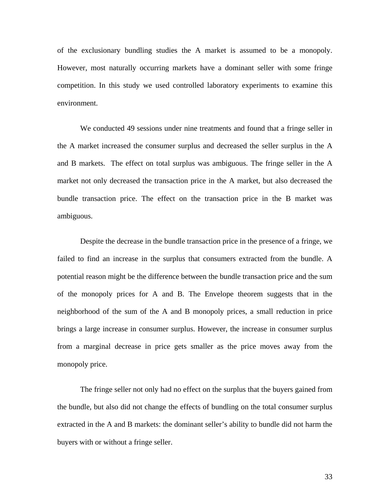of the exclusionary bundling studies the A market is assumed to be a monopoly. However, most naturally occurring markets have a dominant seller with some fringe competition. In this study we used controlled laboratory experiments to examine this environment.

We conducted 49 sessions under nine treatments and found that a fringe seller in the A market increased the consumer surplus and decreased the seller surplus in the A and B markets. The effect on total surplus was ambiguous. The fringe seller in the A market not only decreased the transaction price in the A market, but also decreased the bundle transaction price. The effect on the transaction price in the B market was ambiguous.

Despite the decrease in the bundle transaction price in the presence of a fringe, we failed to find an increase in the surplus that consumers extracted from the bundle. A potential reason might be the difference between the bundle transaction price and the sum of the monopoly prices for A and B. The Envelope theorem suggests that in the neighborhood of the sum of the A and B monopoly prices, a small reduction in price brings a large increase in consumer surplus. However, the increase in consumer surplus from a marginal decrease in price gets smaller as the price moves away from the monopoly price.

The fringe seller not only had no effect on the surplus that the buyers gained from the bundle, but also did not change the effects of bundling on the total consumer surplus extracted in the A and B markets: the dominant seller's ability to bundle did not harm the buyers with or without a fringe seller.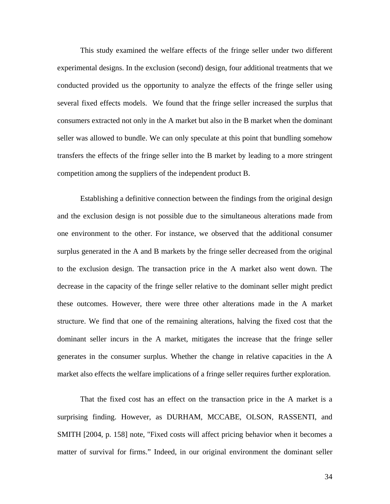This study examined the welfare effects of the fringe seller under two different experimental designs. In the exclusion (second) design, four additional treatments that we conducted provided us the opportunity to analyze the effects of the fringe seller using several fixed effects models. We found that the fringe seller increased the surplus that consumers extracted not only in the A market but also in the B market when the dominant seller was allowed to bundle. We can only speculate at this point that bundling somehow transfers the effects of the fringe seller into the B market by leading to a more stringent competition among the suppliers of the independent product B.

Establishing a definitive connection between the findings from the original design and the exclusion design is not possible due to the simultaneous alterations made from one environment to the other. For instance, we observed that the additional consumer surplus generated in the A and B markets by the fringe seller decreased from the original to the exclusion design. The transaction price in the A market also went down. The decrease in the capacity of the fringe seller relative to the dominant seller might predict these outcomes. However, there were three other alterations made in the A market structure. We find that one of the remaining alterations, halving the fixed cost that the dominant seller incurs in the A market, mitigates the increase that the fringe seller generates in the consumer surplus. Whether the change in relative capacities in the A market also effects the welfare implications of a fringe seller requires further exploration.

That the fixed cost has an effect on the transaction price in the A market is a surprising finding. However, as DURHAM, MCCABE, OLSON, RASSENTI, and SMITH [2004, p. 158] note, "Fixed costs will affect pricing behavior when it becomes a matter of survival for firms." Indeed, in our original environment the dominant seller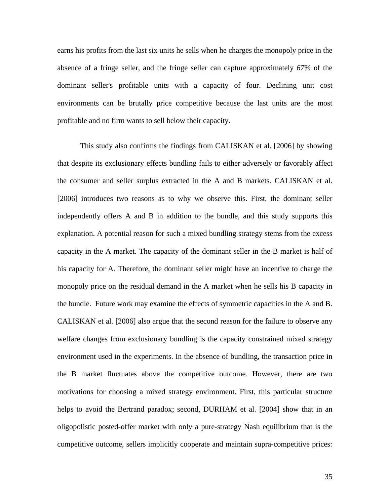earns his profits from the last six units he sells when he charges the monopoly price in the absence of a fringe seller, and the fringe seller can capture approximately *67%* of the dominant seller's profitable units with a capacity of four. Declining unit cost environments can be brutally price competitive because the last units are the most profitable and no firm wants to sell below their capacity.

This study also confirms the findings from CALISKAN et al. [2006] by showing that despite its exclusionary effects bundling fails to either adversely or favorably affect the consumer and seller surplus extracted in the A and B markets. CALISKAN et al. [2006] introduces two reasons as to why we observe this. First, the dominant seller independently offers A and B in addition to the bundle, and this study supports this explanation. A potential reason for such a mixed bundling strategy stems from the excess capacity in the A market. The capacity of the dominant seller in the B market is half of his capacity for A. Therefore, the dominant seller might have an incentive to charge the monopoly price on the residual demand in the A market when he sells his B capacity in the bundle. Future work may examine the effects of symmetric capacities in the A and B. CALISKAN et al. [2006] also argue that the second reason for the failure to observe any welfare changes from exclusionary bundling is the capacity constrained mixed strategy environment used in the experiments. In the absence of bundling, the transaction price in the B market fluctuates above the competitive outcome. However, there are two motivations for choosing a mixed strategy environment. First, this particular structure helps to avoid the Bertrand paradox; second, DURHAM et al. [2004] show that in an oligopolistic posted-offer market with only a pure-strategy Nash equilibrium that is the competitive outcome, sellers implicitly cooperate and maintain supra-competitive prices: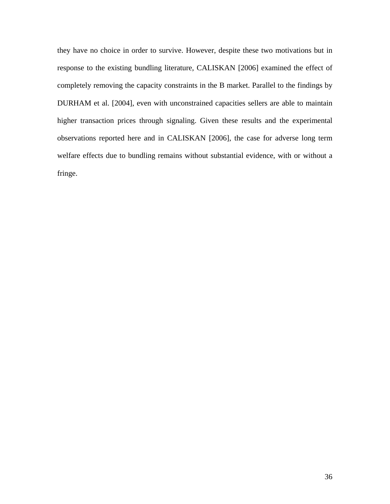they have no choice in order to survive. However, despite these two motivations but in response to the existing bundling literature, CALISKAN [2006] examined the effect of completely removing the capacity constraints in the B market. Parallel to the findings by DURHAM et al. [2004], even with unconstrained capacities sellers are able to maintain higher transaction prices through signaling. Given these results and the experimental observations reported here and in CALISKAN [2006], the case for adverse long term welfare effects due to bundling remains without substantial evidence, with or without a fringe.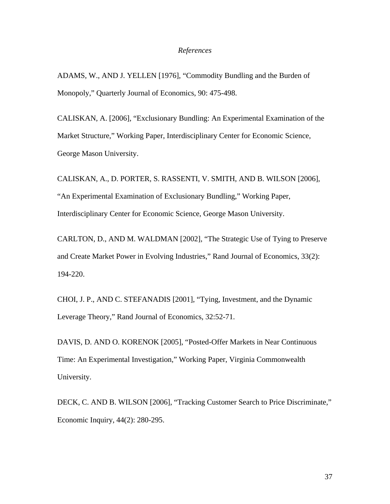#### *References*

ADAMS, W., AND J. YELLEN [1976], "Commodity Bundling and the Burden of Monopoly," Quarterly Journal of Economics, 90: 475-498.

CALISKAN, A. [2006], "Exclusionary Bundling: An Experimental Examination of the Market Structure," Working Paper, Interdisciplinary Center for Economic Science, George Mason University.

CALISKAN, A., D. PORTER, S. RASSENTI, V. SMITH, AND B. WILSON [2006], "An Experimental Examination of Exclusionary Bundling," Working Paper, Interdisciplinary Center for Economic Science, George Mason University.

CARLTON, D., AND M. WALDMAN [2002], "The Strategic Use of Tying to Preserve and Create Market Power in Evolving Industries," Rand Journal of Economics, 33(2): 194-220.

CHOI, J. P., AND C. STEFANADIS [2001], "Tying, Investment, and the Dynamic Leverage Theory," Rand Journal of Economics, 32:52-71.

DAVIS, D. AND O. KORENOK [2005], "Posted-Offer Markets in Near Continuous Time: An Experimental Investigation," Working Paper, Virginia Commonwealth University.

DECK, C. AND B. WILSON [2006], "Tracking Customer Search to Price Discriminate," Economic Inquiry, 44(2): 280-295.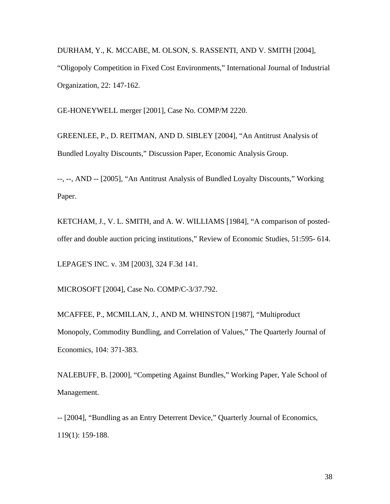DURHAM, Y., K. MCCABE, M. OLSON, S. RASSENTI, AND V. SMITH [2004], "Oligopoly Competition in Fixed Cost Environments," International Journal of Industrial Organization, 22: 147-162.

GE-HONEYWELL merger [2001], Case No. COMP/M 2220.

GREENLEE, P., D. REITMAN, AND D. SIBLEY [2004], "An Antitrust Analysis of Bundled Loyalty Discounts," Discussion Paper, Economic Analysis Group.

--, --, AND -- [2005], "An Antitrust Analysis of Bundled Loyalty Discounts," Working Paper.

KETCHAM, J., V. L. SMITH, and A. W. WILLIAMS [1984], "A comparison of postedoffer and double auction pricing institutions," Review of Economic Studies, 51:595- 614.

LEPAGE'S INC. v. 3M [2003], 324 F.3d 141.

MICROSOFT [2004], Case No. COMP/C-3/37.792.

MCAFFEE, P., MCMILLAN, J., AND M. WHINSTON [1987], "Multiproduct Monopoly, Commodity Bundling, and Correlation of Values," The Quarterly Journal of Economics, 104: 371-383.

NALEBUFF, B. [2000], "Competing Against Bundles," Working Paper, Yale School of Management.

-- [2004], "Bundling as an Entry Deterrent Device," Quarterly Journal of Economics, 119(1): 159-188.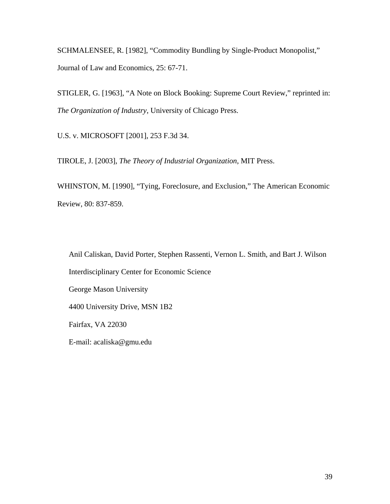SCHMALENSEE, R. [1982], "Commodity Bundling by Single-Product Monopolist," Journal of Law and Economics, 25: 67-71.

STIGLER, G. [1963], "A Note on Block Booking: Supreme Court Review," reprinted in: *The Organization of Industry*, University of Chicago Press.

U.S. v. MICROSOFT [2001], 253 F.3d 34.

TIROLE, J. [2003], *The Theory of Industrial Organization*, MIT Press.

WHINSTON, M. [1990], "Tying, Foreclosure, and Exclusion," The American Economic Review, 80: 837-859.

Anil Caliskan, David Porter, Stephen Rassenti, Vernon L. Smith, and Bart J. Wilson Interdisciplinary Center for Economic Science George Mason University 4400 University Drive, MSN 1B2 Fairfax, VA 22030 E-mail: acaliska@gmu.edu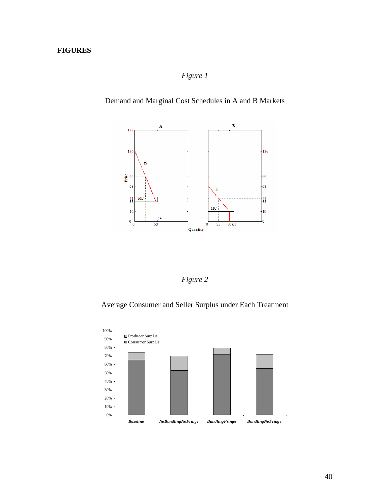# **FIGURES**

# *Figure 1*

Demand and Marginal Cost Schedules in A and B Markets



*Figure 2* 

Average Consumer and Seller Surplus under Each Treatment

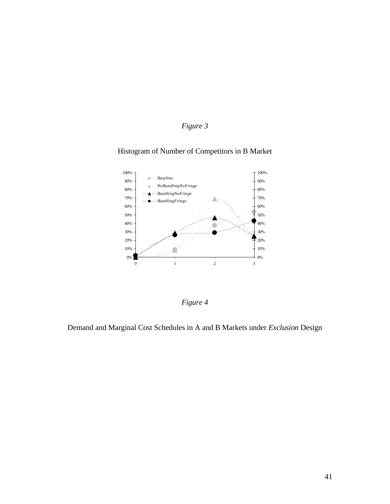# *Figure 3*

### Histogram of Number of Competitors in B Market



*Figure 4* 

Demand and Marginal Cost Schedules in A and B Markets under *Exclusion* Design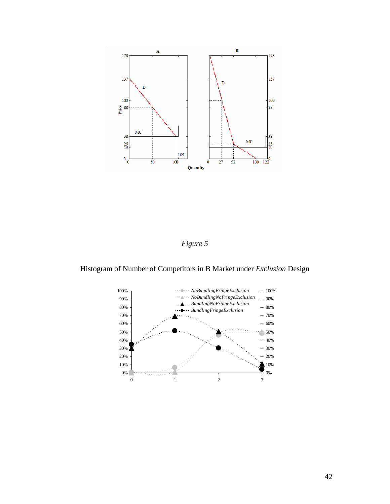

*Figure 5* 

Histogram of Number of Competitors in B Market under *Exclusion* Design

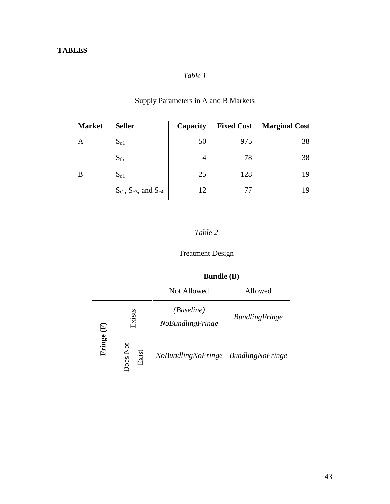# *Table 1*

| <b>Market</b> | <b>Seller</b>                      | Capacity | <b>Fixed Cost</b> | <b>Marginal Cost</b> |
|---------------|------------------------------------|----------|-------------------|----------------------|
|               | $S_{d1}$                           | 50       | 975               | 38                   |
|               | $S_{f5}$                           |          | 78                | 38                   |
| B             | $S_{d1}$                           | 25       | 128               | 19                   |
|               | $S_{c2}$ , $S_{c3}$ , and $S_{c4}$ | 12       |                   | 19                   |

# Supply Parameters in A and B Markets

# *Table 2*

# Treatment Design

|        |                   | <b>Bundle</b> (B)                            |                       |
|--------|-------------------|----------------------------------------------|-----------------------|
|        |                   | Not Allowed                                  | Allowed               |
| €      | Exists            | <i>(Baseline)</i><br><b>NoBundlingFringe</b> | <b>BundlingFringe</b> |
| Fringe | Does Not<br>Exist | NoBundlingNoFringe BundlingNoFringe          |                       |